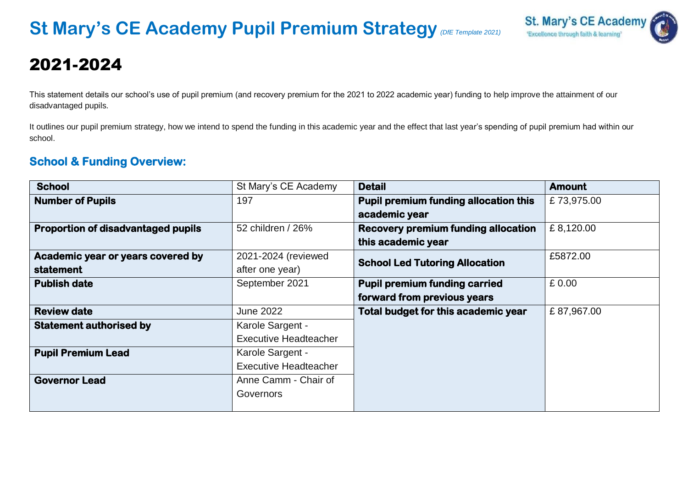

# 2021-2024

This statement details our school's use of pupil premium (and recovery premium for the 2021 to 2022 academic year) funding to help improve the attainment of our disadvantaged pupils.

It outlines our pupil premium strategy, how we intend to spend the funding in this academic year and the effect that last year's spending of pupil premium had within our school.

### **School & Funding Overview:**

| <b>School</b>                             | St Mary's CE Academy         | <b>Detail</b>                                | <b>Amount</b> |
|-------------------------------------------|------------------------------|----------------------------------------------|---------------|
| <b>Number of Pupils</b>                   | 197                          | <b>Pupil premium funding allocation this</b> | £73,975.00    |
|                                           |                              | academic year                                |               |
| <b>Proportion of disadvantaged pupils</b> | 52 children / 26%            | <b>Recovery premium funding allocation</b>   | £8,120.00     |
|                                           |                              | this academic year                           |               |
| Academic year or years covered by         | 2021-2024 (reviewed          | <b>School Led Tutoring Allocation</b>        | £5872.00      |
| <b>statement</b>                          | after one year)              |                                              |               |
| <b>Publish date</b>                       | September 2021               | <b>Pupil premium funding carried</b>         | £ 0.00        |
|                                           |                              | forward from previous years                  |               |
| <b>Review date</b>                        | <b>June 2022</b>             | Total budget for this academic year          | £87,967.00    |
| <b>Statement authorised by</b>            | Karole Sargent -             |                                              |               |
|                                           | <b>Executive Headteacher</b> |                                              |               |
| <b>Pupil Premium Lead</b>                 | Karole Sargent -             |                                              |               |
|                                           | <b>Executive Headteacher</b> |                                              |               |
| <b>Governor Lead</b>                      | Anne Camm - Chair of         |                                              |               |
|                                           | Governors                    |                                              |               |
|                                           |                              |                                              |               |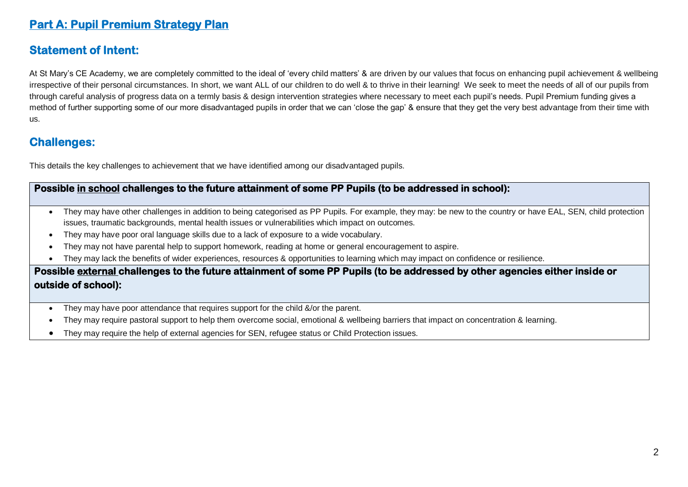# **Part A: Pupil Premium Strategy Plan**

# **Statement of Intent:**

At St Mary's CE Academy, we are completely committed to the ideal of 'every child matters' & are driven by our values that focus on enhancing pupil achievement & wellbeing irrespective of their personal circumstances. In short, we want ALL of our children to do well & to thrive in their learning! We seek to meet the needs of all of our pupils from through careful analysis of progress data on a termly basis & design intervention strategies where necessary to meet each pupil's needs. Pupil Premium funding gives a method of further supporting some of our more disadvantaged pupils in order that we can 'close the gap' & ensure that they get the very best advantage from their time with us.

#### **Challenges:**

This details the key challenges to achievement that we have identified among our disadvantaged pupils.

#### **Possible in school challenges to the future attainment of some PP Pupils (to be addressed in school):**

- They may have other challenges in addition to being categorised as PP Pupils. For example, they may: be new to the country or have EAL, SEN, child protection issues, traumatic backgrounds, mental health issues or vulnerabilities which impact on outcomes.
- They may have poor oral language skills due to a lack of exposure to a wide vocabulary.
- They may not have parental help to support homework, reading at home or general encouragement to aspire.
- They may lack the benefits of wider experiences, resources & opportunities to learning which may impact on confidence or resilience.

#### **Possible external challenges to the future attainment of some PP Pupils (to be addressed by other agencies either inside or outside of school):**

- They may have poor attendance that requires support for the child &/or the parent.
- They may require pastoral support to help them overcome social, emotional & wellbeing barriers that impact on concentration & learning.
- They may require the help of external agencies for SEN, refugee status or Child Protection issues.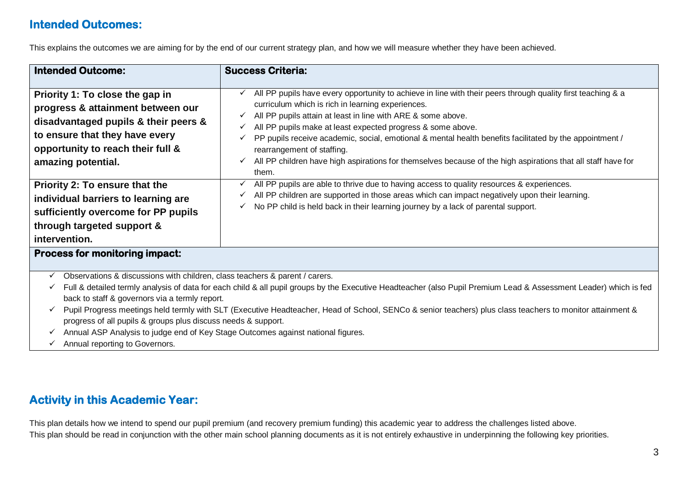# **Intended Outcomes:**

This explains the outcomes we are aiming for by the end of our current strategy plan, and how we will measure whether they have been achieved.

| <b>Intended Outcome:</b>                                                                                                                                                                                                                                                                                                                                                                                                                                                                                                                                                                                                                                                                                                                                                                                      | <b>Success Criteria:</b>                                                                                                                                                                                                                                                                                                       |  |  |  |
|---------------------------------------------------------------------------------------------------------------------------------------------------------------------------------------------------------------------------------------------------------------------------------------------------------------------------------------------------------------------------------------------------------------------------------------------------------------------------------------------------------------------------------------------------------------------------------------------------------------------------------------------------------------------------------------------------------------------------------------------------------------------------------------------------------------|--------------------------------------------------------------------------------------------------------------------------------------------------------------------------------------------------------------------------------------------------------------------------------------------------------------------------------|--|--|--|
| All PP pupils have every opportunity to achieve in line with their peers through quality first teaching & a<br>Priority 1: To close the gap in<br>$\checkmark$<br>curriculum which is rich in learning experiences.<br>progress & attainment between our<br>All PP pupils attain at least in line with ARE & some above.<br>✓<br>disadvantaged pupils & their peers &<br>All PP pupils make at least expected progress & some above.<br>✓<br>to ensure that they have every<br>PP pupils receive academic, social, emotional & mental health benefits facilitated by the appointment /<br>opportunity to reach their full &<br>rearrangement of staffing.<br>All PP children have high aspirations for themselves because of the high aspirations that all staff have for<br>amazing potential.<br>✓<br>them. |                                                                                                                                                                                                                                                                                                                                |  |  |  |
| All PP pupils are able to thrive due to having access to quality resources & experiences.<br>Priority 2: To ensure that the<br>✓<br>All PP children are supported in those areas which can impact negatively upon their learning.<br>✓<br>individual barriers to learning are<br>No PP child is held back in their learning journey by a lack of parental support.<br>✓<br>sufficiently overcome for PP pupils<br>through targeted support &<br>intervention.                                                                                                                                                                                                                                                                                                                                                 |                                                                                                                                                                                                                                                                                                                                |  |  |  |
| <b>Process for monitoring impact:</b>                                                                                                                                                                                                                                                                                                                                                                                                                                                                                                                                                                                                                                                                                                                                                                         |                                                                                                                                                                                                                                                                                                                                |  |  |  |
| Observations & discussions with children, class teachers & parent / carers.<br>$\checkmark$<br>✓<br>back to staff & governors via a termly report.<br>progress of all pupils & groups plus discuss needs & support.<br>Annual ASP Analysis to judge end of Key Stage Outcomes against national figures.<br>✓<br>Annual reporting to Governors.                                                                                                                                                                                                                                                                                                                                                                                                                                                                | Full & detailed termly analysis of data for each child & all pupil groups by the Executive Headteacher (also Pupil Premium Lead & Assessment Leader) which is fed<br>Pupil Progress meetings held termly with SLT (Executive Headteacher, Head of School, SENCo & senior teachers) plus class teachers to monitor attainment & |  |  |  |

# **Activity in this Academic Year:**

This plan details how we intend to spend our pupil premium (and recovery premium funding) this academic year to address the challenges listed above. This plan should be read in conjunction with the other main school planning documents as it is not entirely exhaustive in underpinning the following key priorities.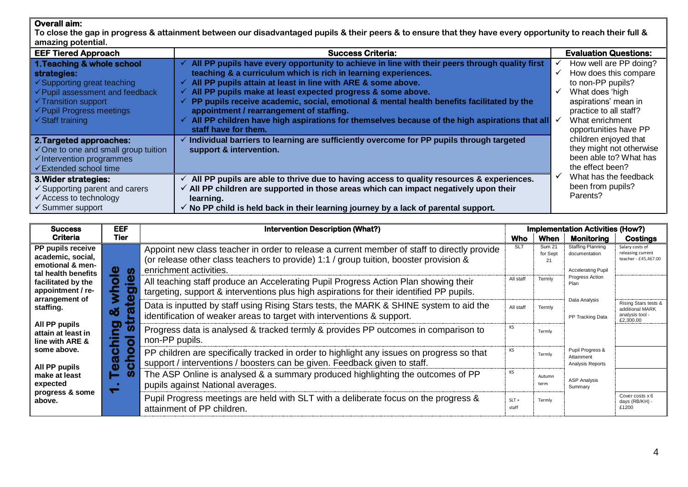#### **Overall aim:**

**To close the gap in progress & attainment between our disadvantaged pupils & their peers & to ensure that they have every opportunity to reach their full & amazing potential.** 

| $\frac{1}{2}$                                                                                                                                                                                                |                                                                                                                                                                                                                                                                                                                                                                                                                                                                         |                                                                                                                                           |
|--------------------------------------------------------------------------------------------------------------------------------------------------------------------------------------------------------------|-------------------------------------------------------------------------------------------------------------------------------------------------------------------------------------------------------------------------------------------------------------------------------------------------------------------------------------------------------------------------------------------------------------------------------------------------------------------------|-------------------------------------------------------------------------------------------------------------------------------------------|
| <b>EEF Tiered Approach</b>                                                                                                                                                                                   | <b>Success Criteria:</b>                                                                                                                                                                                                                                                                                                                                                                                                                                                | <b>Evaluation Questions:</b>                                                                                                              |
| 1. Teaching & whole school<br>strategies:<br>$\checkmark$ Supporting great teaching<br>$\checkmark$ Pupil assessment and feedback<br>$\checkmark$ Transition support<br>$\checkmark$ Pupil Progress meetings | All PP pupils have every opportunity to achieve in line with their peers through quality first<br>teaching & a curriculum which is rich in learning experiences.<br>$\checkmark$ All PP pupils attain at least in line with ARE & some above.<br>All PP pupils make at least expected progress & some above.<br>✓<br>$\checkmark$ PP pupils receive academic, social, emotional & mental health benefits facilitated by the<br>appointment / rearrangement of staffing. | How well are PP doing?<br>How does this compare<br>to non-PP pupils?<br>What does 'high<br>aspirations' mean in<br>practice to all staff? |
| $\checkmark$ Staff training<br>2. Targeted approaches:<br>$\checkmark$ One to one and small group tuition<br>$\checkmark$ Intervention programmes                                                            | All PP children have high aspirations for themselves because of the high aspirations that all $\checkmark$<br>staff have for them.<br>$\checkmark$ Individual barriers to learning are sufficiently overcome for PP pupils through targeted<br>support & intervention.                                                                                                                                                                                                  | What enrichment<br>opportunities have PP<br>children enjoyed that<br>they might not otherwise<br>been able to? What has                   |
| <b>√Extended school time</b>                                                                                                                                                                                 |                                                                                                                                                                                                                                                                                                                                                                                                                                                                         | the effect been?                                                                                                                          |
| 3. Wider strategies:<br>$\checkmark$ Supporting parent and carers<br>$\checkmark$ Access to technology<br>$\checkmark$ Summer support                                                                        | All PP pupils are able to thrive due to having access to quality resources & experiences.<br>$\checkmark$ All PP children are supported in those areas which can impact negatively upon their<br>learning.<br>$\checkmark$ No PP child is held back in their learning journey by a lack of parental support.                                                                                                                                                            | What has the feedback<br>been from pupils?<br>Parents?                                                                                    |

| <b>Success</b>                                                                    | <b>EEF</b>                 | <b>Intervention Description (What?)</b>                                                                                                                                                                        |                  |                    | Implementation Activities (How?)                                       |                                                                       |
|-----------------------------------------------------------------------------------|----------------------------|----------------------------------------------------------------------------------------------------------------------------------------------------------------------------------------------------------------|------------------|--------------------|------------------------------------------------------------------------|-----------------------------------------------------------------------|
| <b>Criteria</b>                                                                   | Tier                       |                                                                                                                                                                                                                | <b>Who</b>       | When               | <b>Monitoring</b>                                                      | Costings                                                              |
| PP pupils receive<br>academic, social,<br>emotional & men-<br>tal health benefits | Φ<br>$\boldsymbol{\omega}$ | Appoint new class teacher in order to release a current member of staff to directly provide<br>(or release other class teachers to provide) 1:1 / group tuition, booster provision &<br>enrichment activities. | <b>SLT</b>       | Sum 21<br>for Sept | <b>Staffing Planning</b><br>documentation<br><b>Accelerating Pupil</b> | Salary costs of<br>releasing current<br>teacher - £45.467.00          |
| facilitated by the<br>appointment / re-<br>arrangement of                         | <u>.º</u><br>O<br>≩        | All teaching staff produce an Accelerating Pupil Progress Action Plan showing their<br>targeting, support & interventions plus high aspirations for their identified PP pupils.                                | All staff        | Termly             | Progress Action<br>Plan                                                |                                                                       |
| staffing.                                                                         | 60                         | Data is inputted by staff using Rising Stars tests, the MARK & SHINE system to aid the<br>identification of weaker areas to target with interventions & support.                                               | All staff        | Termly             | Data Analysis<br>PP Tracking Data                                      | Rising Stars tests &<br>additional MARK<br>analysis tool<br>£2,300.00 |
| All PP pupils<br>attain at least in<br>line with ARE &                            | ●)]<br>O                   | Progress data is analysed & tracked termly & provides PP outcomes in comparison to<br>non-PP pupils.                                                                                                           | КS               | Termly             |                                                                        |                                                                       |
| some above.<br>All PP pupils                                                      | Ο<br>N)<br>O               | PP children are specifically tracked in order to highlight any issues on progress so that<br>support / interventions / boosters can be given. Feedback given to staff.                                         | КS               | Termly             | Pupil Progress &<br>Attainment<br>Analysis Reports                     |                                                                       |
| make at least<br>expected                                                         |                            | The ASP Online is analysed & a summary produced highlighting the outcomes of PP<br>pupils against National averages.                                                                                           | КS               | Autumn<br>term     | <b>ASP Analysis</b><br>Summary                                         |                                                                       |
| progress & some<br>above.                                                         |                            | Pupil Progress meetings are held with SLT with a deliberate focus on the progress &<br>attainment of PP children.                                                                                              | $SLT +$<br>staff | Termly             |                                                                        | Cover costs x 6<br>days (RB/KH) -<br>£1200                            |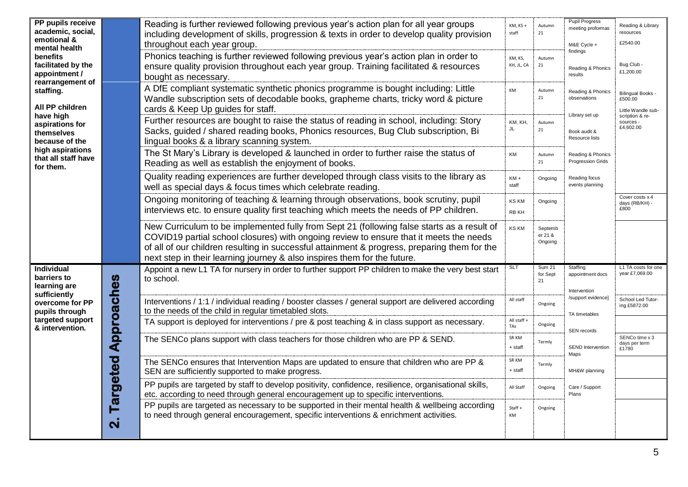| PP pupils receive<br>academic, social,                              |                    | Reading is further reviewed following previous year's action plan for all year groups<br>including development of skills, progression & texts in order to develop quality provision                                                                                                                                                                              | KM, KS+<br>staff      | Autumn<br>21                    | <b>Pupil Progress</b><br>meeting proformas       | Reading & Library<br>resources                            |
|---------------------------------------------------------------------|--------------------|------------------------------------------------------------------------------------------------------------------------------------------------------------------------------------------------------------------------------------------------------------------------------------------------------------------------------------------------------------------|-----------------------|---------------------------------|--------------------------------------------------|-----------------------------------------------------------|
| emotional &<br>mental health                                        |                    | throughout each year group.                                                                                                                                                                                                                                                                                                                                      |                       |                                 | M&E Cycle +<br>findings                          | £2540.00                                                  |
| benefits<br>facilitated by the<br>appointment /<br>rearrangement of |                    | Phonics teaching is further reviewed following previous year's action plan in order to<br>ensure quality provision throughout each year group. Training facilitated & resources<br>bought as necessary.                                                                                                                                                          | KM, KS,<br>KH, JL, CA | Autumn<br>21                    | Reading & Phonics<br>results                     | Bug Club -<br>£1,200.00                                   |
| staffing.<br>All PP children                                        |                    | A DfE compliant systematic synthetic phonics programme is bought including: Little<br>Wandle subscription sets of decodable books, grapheme charts, tricky word & picture<br>cards & Keep Up guides for staff.                                                                                                                                                   | KM                    | Autumn<br>21                    | Reading & Phonics<br>observations                | <b>Bilingual Books -</b><br>£500.00<br>Little Wandle sub- |
| have high<br>aspirations for<br>themselves<br>because of the        |                    | Further resources are bought to raise the status of reading in school, including: Story<br>Sacks, guided / shared reading books, Phonics resources, Bug Club subscription, Bi<br>lingual books & a library scanning system.                                                                                                                                      | KM, KH,<br>JL         | Autumn<br>21                    | Library set up<br>Book audit &<br>Resource lists | scription & re-<br>sources -<br>£4,602.00                 |
| high aspirations<br>that all staff have<br>for them.                |                    | The St Mary's Library is developed & launched in order to further raise the status of<br>Reading as well as establish the enjoyment of books.                                                                                                                                                                                                                    | KM                    | Autumn<br>21                    | Reading & Phonics<br>Progression Grids           |                                                           |
|                                                                     |                    | Quality reading experiences are further developed through class visits to the library as<br>well as special days & focus times which celebrate reading.                                                                                                                                                                                                          | $KM +$<br>staff       | Ongoing                         | Reading focus<br>events planning                 |                                                           |
|                                                                     |                    | Ongoing monitoring of teaching & learning through observations, book scrutiny, pupil<br>interviews etc. to ensure quality first teaching which meets the needs of PP children.                                                                                                                                                                                   | <b>KS KM</b><br>RB KH | Ongoing                         |                                                  | Cover costs x 4<br>days (RB/KH) -<br>£800                 |
|                                                                     |                    | New Curriculum to be implemented fully from Sept 21 (following false starts as a result of<br>COVID19 partial school closures) with ongoing review to ensure that it meets the needs<br>of all of our children resulting in successful attainment & progress, preparing them for the<br>next step in their learning journey & also inspires them for the future. | <b>KS KM</b>          | Septemb<br>er 21 &<br>Ongoing   |                                                  |                                                           |
| <b>Individual</b><br>barriers to<br>learning are<br>sufficiently    |                    | Appoint a new L1 TA for nursery in order to further support PP children to make the very best start<br>to school.                                                                                                                                                                                                                                                | <b>SLT</b>            | <b>Sum 21</b><br>for Sept<br>21 | Staffing<br>appointment docs<br>Intervention     | L1 TA costs for one<br>year £7,069.00                     |
| overcome for PP<br>pupils through                                   | Approaches         | Interventions / 1:1 / individual reading / booster classes / general support are delivered according<br>to the needs of the child in regular timetabled slots.                                                                                                                                                                                                   | All staff             | Ongoing                         | /support evidence]<br>TA timetables              | School Led Tutor-<br>ing £5872.00                         |
| targeted support<br>& intervention.                                 |                    | TA support is deployed for interventions / pre & post teaching & in class support as necessary.                                                                                                                                                                                                                                                                  | All staff<br>TAs      | Ongoing                         | SEN records                                      |                                                           |
|                                                                     |                    | The SENCo plans support with class teachers for those children who are PP & SEND.                                                                                                                                                                                                                                                                                | SR KM<br>$+$ staff    | Termly                          | <b>SEND</b> Intervention<br>Maps                 | SENCo time x 3<br>days per term<br>£1780                  |
|                                                                     | Targeted           | The SENCo ensures that Intervention Maps are updated to ensure that children who are PP &<br>SEN are sufficiently supported to make progress.                                                                                                                                                                                                                    | SR KM<br>+ staff      | Termly                          | MH&W planning                                    |                                                           |
|                                                                     |                    | PP pupils are targeted by staff to develop positivity, confidence, resilience, organisational skills,<br>etc. according to need through general encouragement up to specific interventions.                                                                                                                                                                      | All Staff             | Ongoing                         | Care / Support<br>Plans                          |                                                           |
|                                                                     | $\dot{\mathbf{N}}$ | PP pupils are targeted as necessary to be supported in their mental health & wellbeing according<br>to need through general encouragement, specific interventions & enrichment activities.                                                                                                                                                                       | Staff +<br>KM         | Ongoing                         |                                                  |                                                           |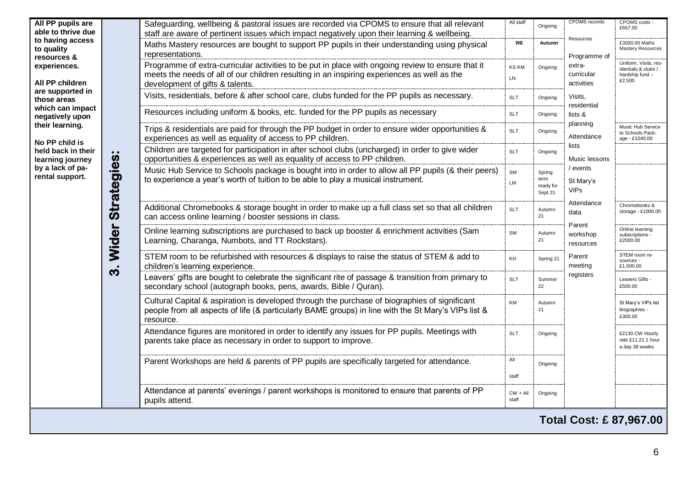| All PP pupils are<br>able to thrive due       |                    | Safeguarding, wellbeing & pastoral issues are recorded via CPOMS to ensure that all relevant<br>staff are aware of pertinent issues which impact negatively upon their learning & wellbeing.                                        | All staff           | Ongoing                                | <b>CPOMS</b> records                 | CPOMS costs -<br>£667.00                                                  |
|-----------------------------------------------|--------------------|-------------------------------------------------------------------------------------------------------------------------------------------------------------------------------------------------------------------------------------|---------------------|----------------------------------------|--------------------------------------|---------------------------------------------------------------------------|
| to having access<br>to quality<br>resources & |                    | Maths Mastery resources are bought to support PP pupils in their understanding using physical<br>representations.                                                                                                                   | <b>RB</b>           | Autumn                                 | Resources<br>Programme of            | £3000.00 Maths<br><b>Mastery Resources</b>                                |
| experiences.<br>All PP children               |                    | Programme of extra-curricular activities to be put in place with ongoing review to ensure that it<br>meets the needs of all of our children resulting in an inspiring experiences as well as the<br>development of gifts & talents. | <b>KS KM</b><br>LN  | Ongoing                                | extra-<br>curricular<br>activities   | Uniform, Visits, res-<br>identials & clubs /<br>hardship fund -<br>£2.500 |
| are supported in<br>those areas               |                    | Visits, residentials, before & after school care, clubs funded for the PP pupils as necessary.                                                                                                                                      | <b>SLT</b>          | Ongoing                                | Visits,                              |                                                                           |
| which can impact<br>negatively upon           |                    | Resources including uniform & books, etc. funded for the PP pupils as necessary                                                                                                                                                     | <b>SLT</b>          | Ongoing                                | residential<br>lists &               |                                                                           |
| their learning.<br>No PP child is             |                    | Trips & residentials are paid for through the PP budget in order to ensure wider opportunities &<br>experiences as well as equality of access to PP children.                                                                       | SLT                 | Ongoing                                | planning<br>Attendance               | Music Hub Service<br>to Schools Pack-<br>age - £1040.00                   |
| held back in their<br>learning journey        |                    | Children are targeted for participation in after school clubs (uncharged) in order to give wider<br>opportunities & experiences as well as equality of access to PP children.                                                       | <b>SLT</b>          | Ongoing                                | lists<br>Music lessons               |                                                                           |
| by a lack of pa-<br>rental support.           | <b>Strategies:</b> | Music Hub Service to Schools package is bought into in order to allow all PP pupils (& their peers)<br>to experience a year's worth of tuition to be able to play a musical instrument.                                             | SM<br>LM            | Spring<br>term<br>ready for<br>Sept 21 | / events<br>St Mary's<br><b>VIPs</b> |                                                                           |
|                                               |                    | Additional Chromebooks & storage bought in order to make up a full class set so that all children<br>can access online learning / booster sessions in class.                                                                        | <b>SLT</b>          | Autumn<br>21                           | Attendance<br>data                   | Chromebooks &<br>storage - £1000.00                                       |
|                                               | Wider              | Online learning subscriptions are purchased to back up booster & enrichment activities (Sam<br>Learning, Charanga, Numbots, and TT Rockstars).                                                                                      | <b>SM</b>           | Autumn<br>21                           | Parent<br>workshop<br>resources      | Online learning<br>subscriptions -<br>£2000.00                            |
|                                               | က                  | STEM room to be refurbished with resources & displays to raise the status of STEM & add to<br>children's learning experience.                                                                                                       | KH                  | Spring 21                              | Parent<br>meeting                    | STEM room re-<br>sources -<br>£1,500.00                                   |
|                                               |                    | Leavers' gifts are bought to celebrate the significant rite of passage & transition from primary to<br>secondary school (autograph books, pens, awards, Bible / Quran).                                                             | <b>SLT</b>          | Summer<br>22                           | registers                            | Leavers Gifts -<br>£500.00                                                |
|                                               |                    | Cultural Capital & aspiration is developed through the purchase of biographies of significant<br>people from all aspects of life (& particularly BAME groups) in line with the St Mary's VIPs list &<br>resource.                   | <b>KM</b>           | Autumn<br>21                           |                                      | St Mary's VIPs list<br>biographies -<br>£300.00                           |
|                                               |                    | Attendance figures are monitored in order to identify any issues for PP pupils. Meetings with<br>parents take place as necessary in order to support to improve.                                                                    | <b>SLT</b>          | Ongoing                                |                                      | £2130 CW Hourly<br>rate £11.21 1 hour<br>a day 38 weeks.                  |
|                                               |                    | Parent Workshops are held & parents of PP pupils are specifically targeted for attendance.                                                                                                                                          | All<br>staff        | Ongoing                                |                                      |                                                                           |
|                                               |                    | Attendance at parents' evenings / parent workshops is monitored to ensure that parents of PP<br>pupils attend.                                                                                                                      | $CW + All$<br>staff | Ongoing                                |                                      |                                                                           |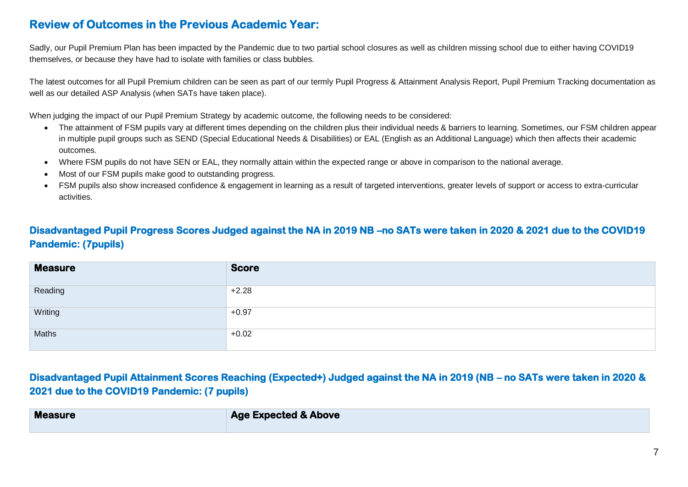### **Review of Outcomes in the Previous Academic Year:**

Sadly, our Pupil Premium Plan has been impacted by the Pandemic due to two partial school closures as well as children missing school due to either having COVID19 themselves, or because they have had to isolate with families or class bubbles.

The latest outcomes for all Pupil Premium children can be seen as part of our termly Pupil Progress & Attainment Analysis Report, Pupil Premium Tracking documentation as well as our detailed ASP Analysis (when SATs have taken place).

When judging the impact of our Pupil Premium Strategy by academic outcome, the following needs to be considered:

- The attainment of FSM pupils vary at different times depending on the children plus their individual needs & barriers to learning. Sometimes, our FSM children appear in multiple pupil groups such as SEND (Special Educational Needs & Disabilities) or EAL (English as an Additional Language) which then affects their academic outcomes.
- Where FSM pupils do not have SEN or EAL, they normally attain within the expected range or above in comparison to the national average.
- Most of our FSM pupils make good to outstanding progress.
- FSM pupils also show increased confidence & engagement in learning as a result of targeted interventions, greater levels of support or access to extra-curricular activities.

#### **Disadvantaged Pupil Progress Scores Judged against the NA in 2019 NB –no SATs were taken in 2020 & 2021 due to the COVID19 Pandemic: (7pupils)**

| <b>Measure</b> | <b>Score</b> |
|----------------|--------------|
| Reading        | $+2.28$      |
| Writing        | $+0.97$      |
| Maths          | $+0.02$      |

#### **Disadvantaged Pupil Attainment Scores Reaching (Expected+) Judged against the NA in 2019 (NB – no SATs were taken in 2020 & 2021 due to the COVID19 Pandemic: (7 pupils)**

| <b>Measure</b> | <b>Age Expected &amp; Above</b> |
|----------------|---------------------------------|
|                |                                 |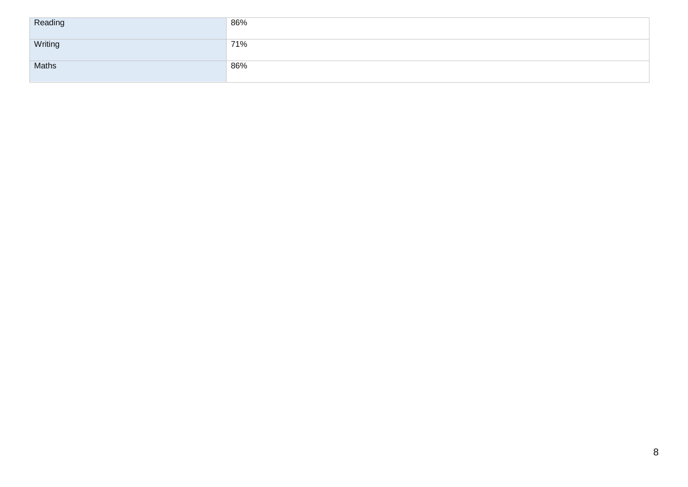| Reading | 86% |
|---------|-----|
| Writing | 71% |
| Maths   | 86% |